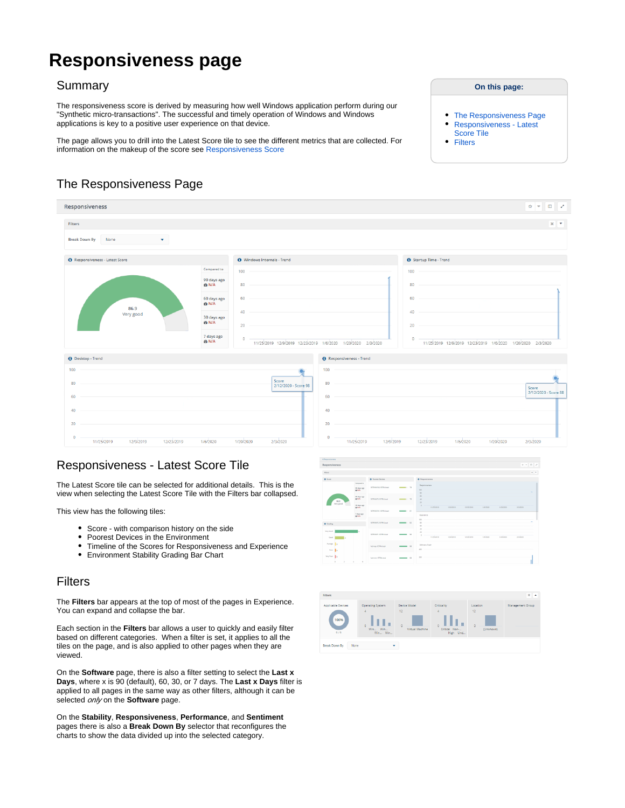# **Responsiveness page**

#### Summary

The responsiveness score is derived by measuring how well Windows application perform during our "Synthetic micro-transactions". The successful and timely operation of Windows and Windows applications is key to a positive user experience on that device.

The page allows you to drill into the Latest Score tile to see the different metrics that are collected. For information on the makeup of the score see [Responsiveness Score](https://help.1e.com/display/EXP13/The+Scores#TheScores-ResponsivenessScore)

### The Responsiveness Page

<span id="page-0-0"></span>

## <span id="page-0-1"></span>Responsiveness - Latest Score Tile

The Latest Score tile can be selected for additional details. This is the view when selecting the Latest Score Tile with the Filters bar collapsed.

This view has the following tiles:

- Score with comparison history on the side
- Poorest Devices in the Environment
- Timeline of the Scores for Responsiveness and Experience
- Environment Stability Grading Bar Chart

### <span id="page-0-2"></span>Filters

The **Filters** bar appears at the top of most of the pages in Experience. You can expand and collapse the bar.

Each section in the **Filters** bar allows a user to quickly and easily filter based on different categories. When a filter is set, it applies to all the tiles on the page, and is also applied to other pages when they are viewed.

On the **Software** page, there is also a filter setting to select the **Last x Days**, where x is 90 (default), 60, 30, or 7 days. The **Last x Days** filter is applied to all pages in the same way as other filters, although it can be selected *only* on the **Software** page.

On the **Stability**, **Responsiveness**, **Performance**, and **Sentiment** pages there is also a **Break Down By** selector that reconfigures the charts to show the data divided up into the selected category.



| <b>Filters</b>                                           |                                                        |                                            |                                               |                                               | $x -$            |
|----------------------------------------------------------|--------------------------------------------------------|--------------------------------------------|-----------------------------------------------|-----------------------------------------------|------------------|
| Applicable Devices<br>100%<br>9/9                        | Operating System<br>Δ<br>۱.<br>n<br>Win Win<br>Win Win | Device Model<br>12<br>n<br>Virtual Machine | Criticality<br>Δ<br>Critical Non-<br>High Und | Location<br>12<br>$\overline{a}$<br>(Unknown) | Management Group |
| <b>Break Down By</b><br>None<br>$\overline{\phantom{a}}$ |                                                        |                                            |                                               |                                               |                  |

#### **On this page:**

- $\bullet$ [The Responsiveness Page](#page-0-0)
- [Responsiveness Latest](#page-0-1)
- [Score Tile](#page-0-1)
- **[Filters](#page-0-2)**